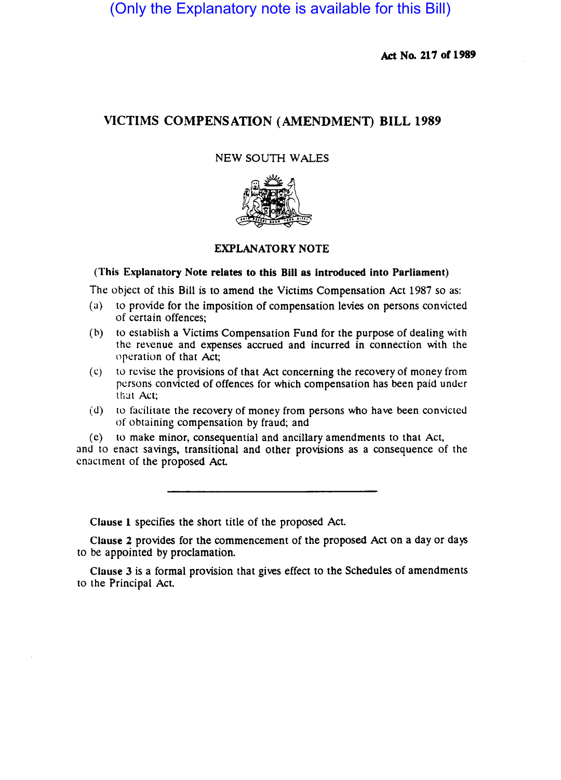(Only the Explanatory note is available for this Bill)

Act No. 217 of 1989

# VICTIMS COMPENSATION (AMENDMENT) BILL 1989

### NEW SOUTH WALES



### EXPLANATORY NOTE

#### (This Explanatory Note relates to this Bill as introduced into Parliament)

The Object of this Bill is to amend the Victims Compensation Act 1987 so as:

- (a) to provide for the imposition of compensation levies on persons convicted of certain offences;
- (b) to establish a Victims Compensation Fund for the purpose of dealing with the revenue and expenses accrued and incurred in connection with the operation of that Act;
- $(c)$  to revise the provisions of that Act concerning the recovery of money from persons convicted of offences for which compensation has been paid under that Act;
- (d) to facilitate the recovery of money from persons who have been convicted of obtaining compensation by fraud; and

(e) to make minor, consequential and ancillary amendments to that Act, and to enact savings, transitional and other provisions as a consequence of the enactment of the proposed Act.

Clause 1 specifies the short title of the proposed Act.

Clause 2 provides for the commencement of the proposed Act on a day or days to be appointed by proclamation.

Clause 3 is a formal provision that gives effect to the Schedules of amendments to the Principal Act.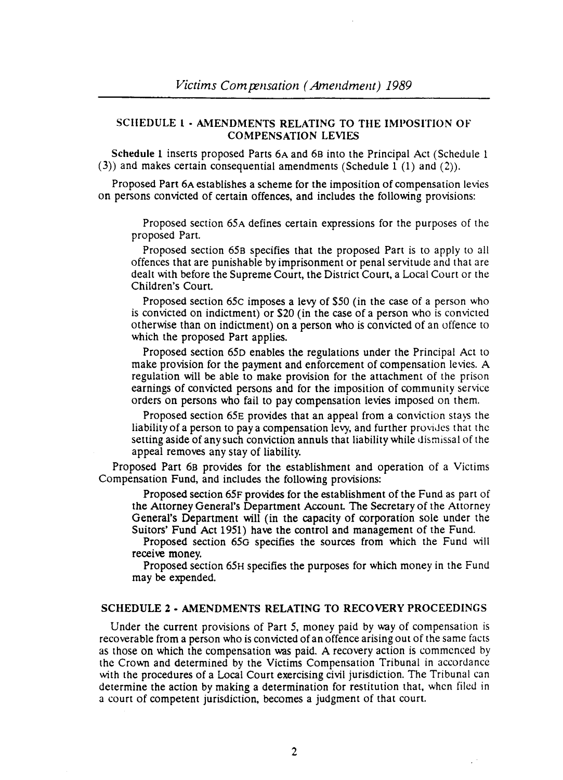## SCHEDULE 1 - AMENDMENTS RELATING TO THE IMPOSITION OF COMPENSATION LEVIES

Schedule 1 inserts proposed Parts 6A and 68 into the Principal Act (Schedule 1 (3)) and makes certain consequential amendments (Schedule 1 (1) and (2)).

Proposed Part 6A establishes a scheme for the imposition of compensation levies on persons convicted of certain offences, and includes the following provisions:

Proposed section 65A defines certain expressions for the purposes of the proposed Part.

Proposed section 658 specifies that the proposed Part is to apply to all offences that are punishable by imprisonment or penal servitude and that are dealt with before the Supreme Court, the District Court, a Local Court or the Children's Court.

Proposed section 65c imposes a levy of \$50 (in the case of a person who is convicted on indictment) or \$20 (in the case of a person who is convicted otherwise than on indictment) on a person who is convicted of an offence to which the proposed Part applies.

Proposed section 65D enables the regulations under the Principal Act to make provision for the payment and enforcement of compensation levies. A regulation will be able to make provision for the attachment of the prison earnings of convicted persons and for the imposition of community service orders on persons who fail to pay compensation levies imposed on them.

Proposed section 65E provides that an appeal from a comiction stays the liability of a person to pay a compensation levy, and further provides that the setting aside of any such conviction annuls that liability while dismissal of the appeal removes any stay of liability.

Proposed Part 68 provides for the establishment and operation of a Victims Compensation Fund, and includes the following provisions:

Proposed section 65F provides for the establishment of the Fund as part of the Attorney General's Department Account The Secretary of the Attorney General's Department will (in the capacity of corporation sole under the Suitors' Fund Act 1951) have the control and management of the Fund.

Proposed section 65G specifies the sources from which the Fund will receive money.

Proposed section 65H specifies the purposes for which money in the Fund may be expended.

## SCHEDULE 2 - AMENDMENTS RELATING TO RECOVERY PROCEEDINGS

Under the current provisions of Part 5, money paid by way of compensation is recoverable from a person who is convicted of an offence arising out of the same facts as those on which the compensation was paid. A recovery action is commenced by the Crown and determined by the Victims Compensation Tribunal in accordance with the procedures of a Local Court exercising civil jurisdiction. The Tribunal can determine the action by making a determination for restitution that, when filed in a court of competent jurisdiction, becomes a judgment of that court.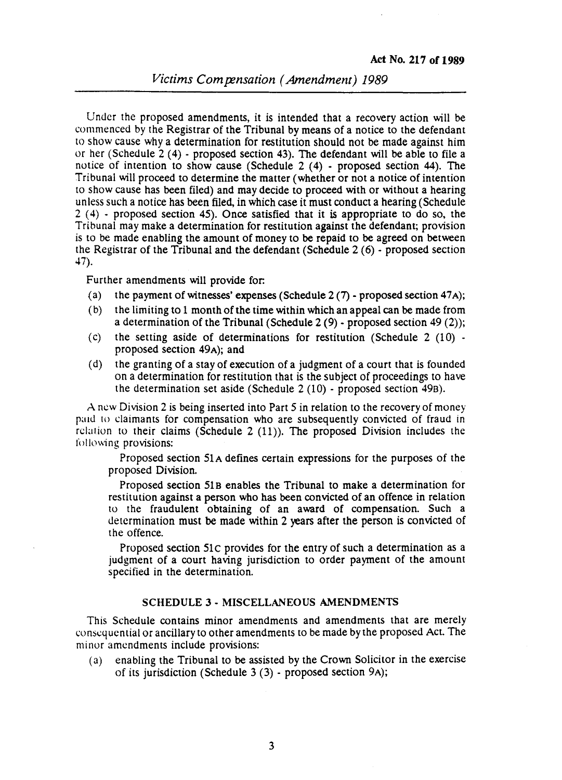Under the proposed amendments, it is intended that a recovery action will be commenced by the Registrar of the Tribunal by means of a notice to the defendant to show cause why a determination for restitution should not be made against him or her (Schedule 2 (4) - proposed section 43). The defendant will be able to file a notice of intention to show cause (Schedule 2 (4) - proposed section 44). The Tribunal will proceed to determine the matter (whether or not a notice of intention to show cause has been filed) and may decide to proceed with or without a hearing unless such a notice has been filed, in which case it must conduct a hearing (Schedule 2 (4) - proposed section 45). Once satisfied that it is appropriate to do so, the Tribunal may make a determination for restitution against the defendant; provision is to be made enabling the amount of money to be repaid to be agreed on between the Registrar of the Tribunal and the defendant (Schedule 2 (6) - proposed section 47).

Further amendments will provide for:

- (a) the payment of witnesses' expenses (Schedule  $2(7)$  proposed section 47A);
- (b) the limiting to 1 month of the time within which an appeal can be made from a determination of the Tribunal (Schedule  $2(9)$  - proposed section 49 (2));
- (c) the setting aside of determinations for restitution (Schedule  $2(10)$  proposed section 49A); and
- (d) the granting of a stay of execution of a judgment of a court that is founded on adetermination for restitution that is the SUbject of proceedings to have the determination set aside (Schedule 2 (10) - proposed section 49B).

A new Division 2 is being inserted into Part 5 in relation to the recovery of money paid 10 claimants for compensation who are subsequently convicted of fraud in relation to their claims (Schedule  $2(11)$ ). The proposed Division includes the following provisions:

Proposed section 5lA defines certain expressions for the purposes of the proposed Division.

Proposed section SIB enables the Tribunal to make a determination for restitution against a person who has been convicted of an offence in relation to the fraudulent obtaining of an award of compensation. Such a determination must be made within 2 years after the person is convicted of the offence.

Proposed section SIc provides for the entry of such a determination as a judgment of a court having jurisdiction to order payment of the amount specified in the determination.

#### SCHEDULE 3 - MISCELLANEOUS AMENDMENTS

This Schedule contains minor amendments and amendments that are merely conseq uenlial or ancillary to other amendments to be made by the proposed Act. The minor amendments include provisions:

(a) enabling the Tribunal to be assisted by the Crown Solicitor in the exercise of its jurisdiction (Schedule 3 (3) - proposed section 9A);